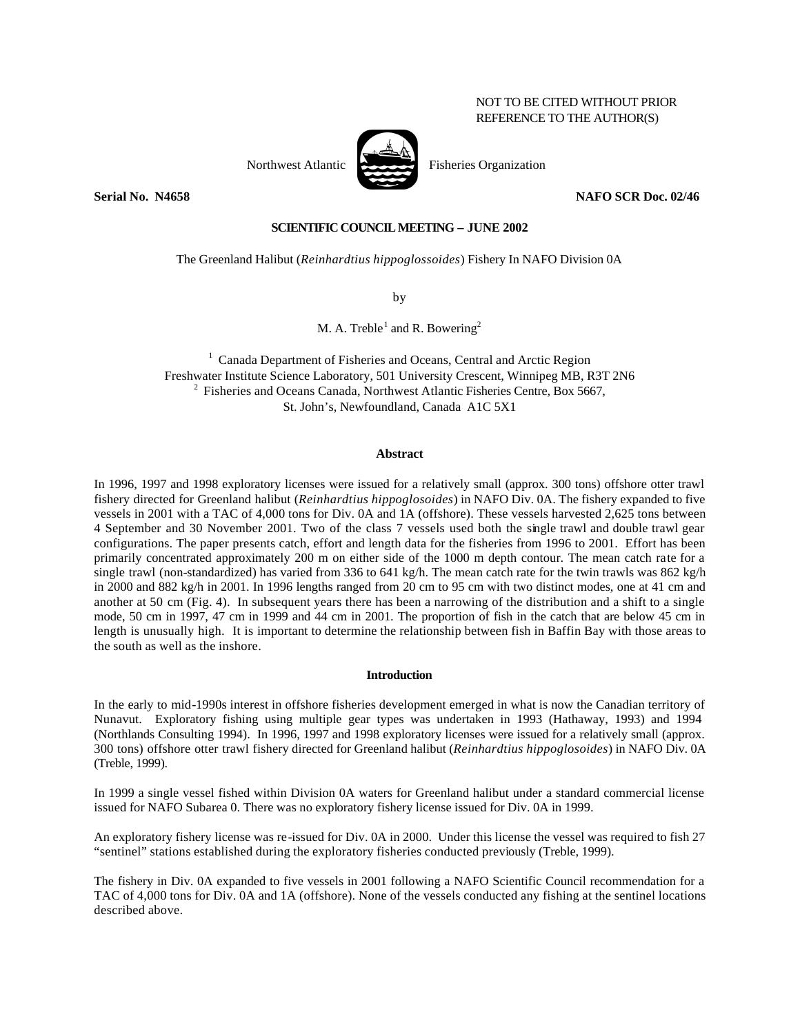# NOT TO BE CITED WITHOUT PRIOR REFERENCE TO THE AUTHOR(S)



**Serial No. N4658 NAFO SCR Doc. 02/46**

### **SCIENTIFIC COUNCIL MEETING – JUNE 2002**

The Greenland Halibut (*Reinhardtius hippoglossoides*) Fishery In NAFO Division 0A

by

M. A. Treble<sup>1</sup> and R. Bowering<sup>2</sup>

<sup>1</sup> Canada Department of Fisheries and Oceans, Central and Arctic Region Freshwater Institute Science Laboratory, 501 University Crescent, Winnipeg MB, R3T 2N6  $2$  Fisheries and Oceans Canada, Northwest Atlantic Fisheries Centre, Box 5667, St. John's, Newfoundland, Canada A1C 5X1

### **Abstract**

In 1996, 1997 and 1998 exploratory licenses were issued for a relatively small (approx. 300 tons) offshore otter trawl fishery directed for Greenland halibut (*Reinhardtius hippoglosoides*) in NAFO Div. 0A. The fishery expanded to five vessels in 2001 with a TAC of 4,000 tons for Div. 0A and 1A (offshore). These vessels harvested 2,625 tons between 4 September and 30 November 2001. Two of the class 7 vessels used both the single trawl and double trawl gear configurations. The paper presents catch, effort and length data for the fisheries from 1996 to 2001. Effort has been primarily concentrated approximately 200 m on either side of the 1000 m depth contour. The mean catch rate for a single trawl (non-standardized) has varied from 336 to 641 kg/h. The mean catch rate for the twin trawls was 862 kg/h in 2000 and 882 kg/h in 2001. In 1996 lengths ranged from 20 cm to 95 cm with two distinct modes, one at 41 cm and another at 50 cm (Fig. 4). In subsequent years there has been a narrowing of the distribution and a shift to a single mode, 50 cm in 1997, 47 cm in 1999 and 44 cm in 2001. The proportion of fish in the catch that are below 45 cm in length is unusually high. It is important to determine the relationship between fish in Baffin Bay with those areas to the south as well as the inshore.

## **Introduction**

In the early to mid-1990s interest in offshore fisheries development emerged in what is now the Canadian territory of Nunavut. Exploratory fishing using multiple gear types was undertaken in 1993 (Hathaway, 1993) and 1994 (Northlands Consulting 1994). In 1996, 1997 and 1998 exploratory licenses were issued for a relatively small (approx. 300 tons) offshore otter trawl fishery directed for Greenland halibut (*Reinhardtius hippoglosoides*) in NAFO Div. 0A (Treble, 1999).

In 1999 a single vessel fished within Division 0A waters for Greenland halibut under a standard commercial license issued for NAFO Subarea 0. There was no exploratory fishery license issued for Div. 0A in 1999.

An exploratory fishery license was re-issued for Div. 0A in 2000. Under this license the vessel was required to fish 27 "sentinel" stations established during the exploratory fisheries conducted previously (Treble, 1999).

The fishery in Div. 0A expanded to five vessels in 2001 following a NAFO Scientific Council recommendation for a TAC of 4,000 tons for Div. 0A and 1A (offshore). None of the vessels conducted any fishing at the sentinel locations described above.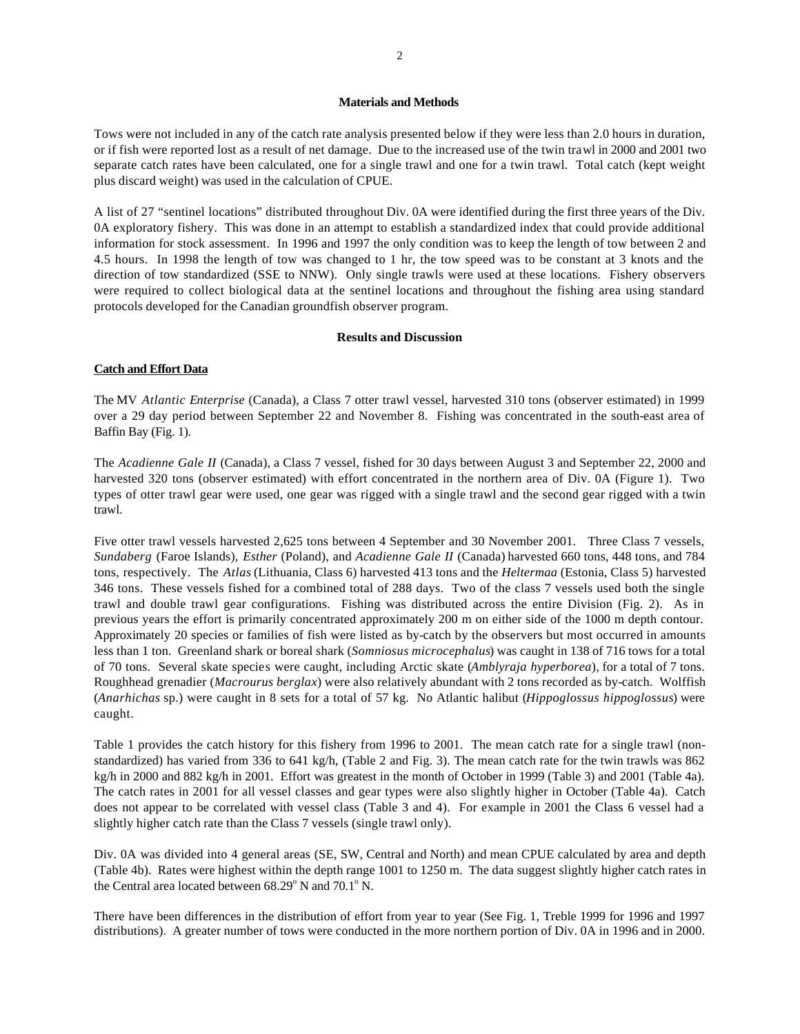#### **Materials and Methods**

Tows were not included in any of the catch rate analysis presented below if they were less than 2.0 hours in duration, or if fish were reported lost as a result of net damage. Due to the increased use of the twin trawl in 2000 and 2001 two separate catch rates have been calculated, one for a single trawl and one for a twin trawl. Total catch (kept weight plus discard weight) was used in the calculation of CPUE.

A list of 27 "sentinel locations" distributed throughout Div. 0A were identified during the first three years of the Div. 0A exploratory fishery. This was done in an attempt to establish a standardized index that could provide additional information for stock assessment. In 1996 and 1997 the only condition was to keep the length of tow between 2 and 4.5 hours. In 1998 the length of tow was changed to 1 hr, the tow speed was to be constant at 3 knots and the direction of tow standardized (SSE to NNW). Only single trawls were used at these locations. Fishery observers were required to collect biological data at the sentinel locations and throughout the fishing area using standard protocols developed for the Canadian groundfish observer program.

### **Results and Discussion**

### **Catch and Effort Data**

The MV *Atlantic Enterprise* (Canada), a Class 7 otter trawl vessel, harvested 310 tons (observer estimated) in 1999 over a 29 day period between September 22 and November 8. Fishing was concentrated in the south-east area of Baffin Bay (Fig. 1).

The *Acadienne Gale II* (Canada), a Class 7 vessel, fished for 30 days between August 3 and September 22, 2000 and harvested 320 tons (observer estimated) with effort concentrated in the northern area of Div. 0A (Figure 1). Two types of otter trawl gear were used, one gear was rigged with a single trawl and the second gear rigged with a twin trawl.

Five otter trawl vessels harvested 2,625 tons between 4 September and 30 November 2001. Three Class 7 vessels, *Sundaberg* (Faroe Islands), *Esther* (Poland), and *Acadienne Gale II* (Canada) harvested 660 tons, 448 tons, and 784 tons, respectively. The *Atlas* (Lithuania, Class 6) harvested 413 tons and the *Heltermaa* (Estonia, Class 5) harvested 346 tons. These vessels fished for a combined total of 288 days. Two of the class 7 vessels used both the single trawl and double trawl gear configurations. Fishing was distributed across the entire Division (Fig. 2). As in previous years the effort is primarily concentrated approximately 200 m on either side of the 1000 m depth contour. Approximately 20 species or families of fish were listed as by-catch by the observers but most occurred in amounts less than 1 ton. Greenland shark or boreal shark (*Somniosus microcephalus*) was caught in 138 of 716 tows for a total of 70 tons. Several skate species were caught, including Arctic skate (*Amblyraja hyperborea*), for a total of 7 tons. Roughhead grenadier (*Macrourus berglax*) were also relatively abundant with 2 tons recorded as by-catch. Wolffish (*Anarhichas* sp.) were caught in 8 sets for a total of 57 kg. No Atlantic halibut (*Hippoglossus hippoglossus*) were caught.

Table 1 provides the catch history for this fishery from 1996 to 2001. The mean catch rate for a single trawl (nonstandardized) has varied from 336 to 641 kg/h, (Table 2 and Fig. 3). The mean catch rate for the twin trawls was 862 kg/h in 2000 and 882 kg/h in 2001. Effort was greatest in the month of October in 1999 (Table 3) and 2001 (Table 4a). The catch rates in 2001 for all vessel classes and gear types were also slightly higher in October (Table 4a). Catch does not appear to be correlated with vessel class (Table 3 and 4). For example in 2001 the Class 6 vessel had a slightly higher catch rate than the Class 7 vessels (single trawl only).

Div. 0A was divided into 4 general areas (SE, SW, Central and North) and mean CPUE calculated by area and depth (Table 4b). Rates were highest within the depth range 1001 to 1250 m. The data suggest slightly higher catch rates in the Central area located between  $68.29^{\circ}$  N and  $70.1^{\circ}$  N.

There have been differences in the distribution of effort from year to year (See Fig. 1, Treble 1999 for 1996 and 1997 distributions). A greater number of tows were conducted in the more northern portion of Div. 0A in 1996 and in 2000.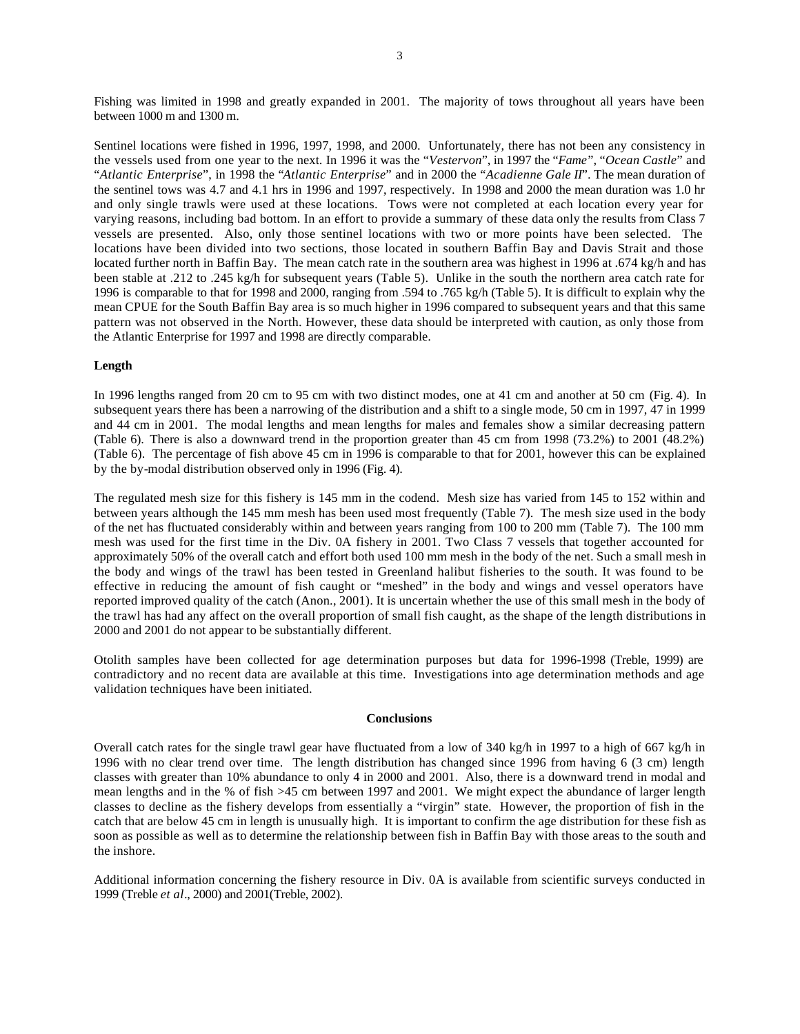Fishing was limited in 1998 and greatly expanded in 2001. The majority of tows throughout all years have been between 1000 m and 1300 m.

Sentinel locations were fished in 1996, 1997, 1998, and 2000. Unfortunately, there has not been any consistency in the vessels used from one year to the next. In 1996 it was the "*Vestervon*", in 1997 the "*Fame*", "*Ocean Castle*" and "*Atlantic Enterprise*", in 1998 the "*Atlantic Enterprise*" and in 2000 the "*Acadienne Gale II*". The mean duration of the sentinel tows was 4.7 and 4.1 hrs in 1996 and 1997, respectively. In 1998 and 2000 the mean duration was 1.0 hr and only single trawls were used at these locations. Tows were not completed at each location every year for varying reasons, including bad bottom. In an effort to provide a summary of these data only the results from Class 7 vessels are presented. Also, only those sentinel locations with two or more points have been selected. The locations have been divided into two sections, those located in southern Baffin Bay and Davis Strait and those located further north in Baffin Bay. The mean catch rate in the southern area was highest in 1996 at .674 kg/h and has been stable at .212 to .245 kg/h for subsequent years (Table 5). Unlike in the south the northern area catch rate for 1996 is comparable to that for 1998 and 2000, ranging from .594 to .765 kg/h (Table 5). It is difficult to explain why the mean CPUE for the South Baffin Bay area is so much higher in 1996 compared to subsequent years and that this same pattern was not observed in the North. However, these data should be interpreted with caution, as only those from the Atlantic Enterprise for 1997 and 1998 are directly comparable.

## **Length**

In 1996 lengths ranged from 20 cm to 95 cm with two distinct modes, one at 41 cm and another at 50 cm (Fig. 4). In subsequent years there has been a narrowing of the distribution and a shift to a single mode, 50 cm in 1997, 47 in 1999 and 44 cm in 2001. The modal lengths and mean lengths for males and females show a similar decreasing pattern (Table 6). There is also a downward trend in the proportion greater than 45 cm from 1998 (73.2%) to 2001 (48.2%) (Table 6). The percentage of fish above 45 cm in 1996 is comparable to that for 2001, however this can be explained by the by-modal distribution observed only in 1996 (Fig. 4).

The regulated mesh size for this fishery is 145 mm in the codend. Mesh size has varied from 145 to 152 within and between years although the 145 mm mesh has been used most frequently (Table 7). The mesh size used in the body of the net has fluctuated considerably within and between years ranging from 100 to 200 mm (Table 7). The 100 mm mesh was used for the first time in the Div. 0A fishery in 2001. Two Class 7 vessels that together accounted for approximately 50% of the overall catch and effort both used 100 mm mesh in the body of the net. Such a small mesh in the body and wings of the trawl has been tested in Greenland halibut fisheries to the south. It was found to be effective in reducing the amount of fish caught or "meshed" in the body and wings and vessel operators have reported improved quality of the catch (Anon., 2001). It is uncertain whether the use of this small mesh in the body of the trawl has had any affect on the overall proportion of small fish caught, as the shape of the length distributions in 2000 and 2001 do not appear to be substantially different.

Otolith samples have been collected for age determination purposes but data for 1996-1998 (Treble, 1999) are contradictory and no recent data are available at this time. Investigations into age determination methods and age validation techniques have been initiated.

## **Conclusions**

Overall catch rates for the single trawl gear have fluctuated from a low of 340 kg/h in 1997 to a high of 667 kg/h in 1996 with no clear trend over time. The length distribution has changed since 1996 from having 6 (3 cm) length classes with greater than 10% abundance to only 4 in 2000 and 2001. Also, there is a downward trend in modal and mean lengths and in the % of fish >45 cm between 1997 and 2001. We might expect the abundance of larger length classes to decline as the fishery develops from essentially a "virgin" state. However, the proportion of fish in the catch that are below 45 cm in length is unusually high. It is important to confirm the age distribution for these fish as soon as possible as well as to determine the relationship between fish in Baffin Bay with those areas to the south and the inshore.

Additional information concerning the fishery resource in Div. 0A is available from scientific surveys conducted in 1999 (Treble *et al*., 2000) and 2001(Treble, 2002).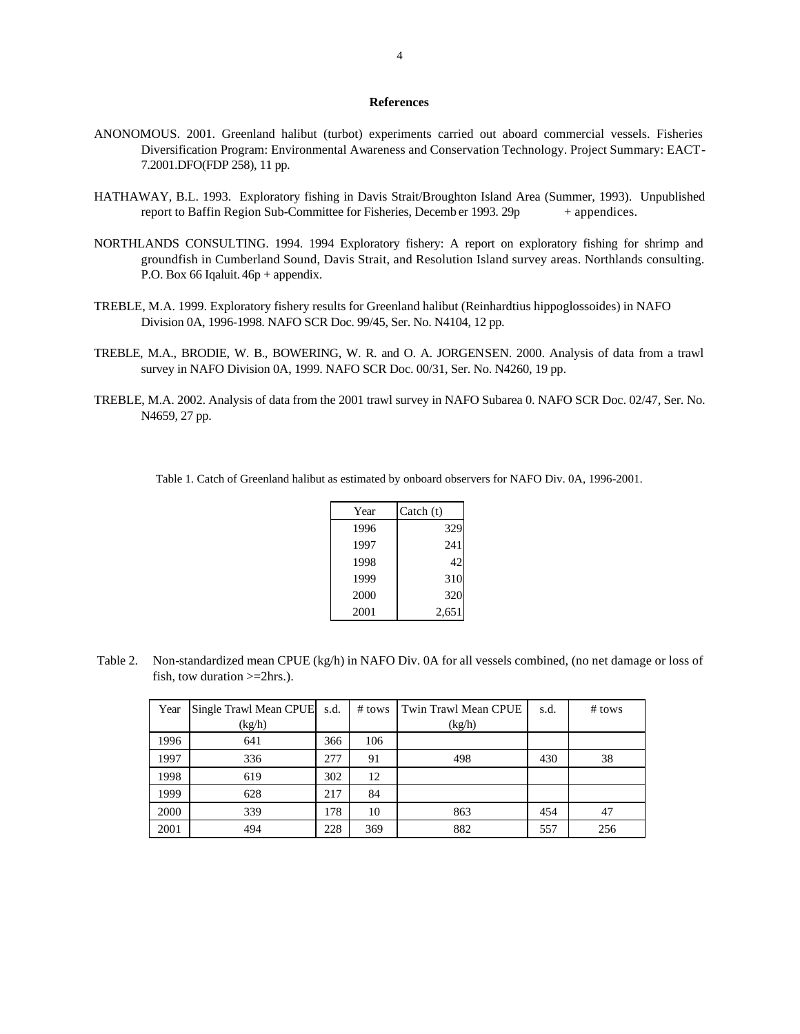#### **References**

- ANONOMOUS. 2001. Greenland halibut (turbot) experiments carried out aboard commercial vessels. Fisheries Diversification Program: Environmental Awareness and Conservation Technology. Project Summary: EACT-7.2001.DFO(FDP 258), 11 pp.
- HATHAWAY, B.L. 1993. Exploratory fishing in Davis Strait/Broughton Island Area (Summer, 1993). Unpublished report to Baffin Region Sub-Committee for Fisheries, Decemb er 1993.  $29p + app$ endices.
- NORTHLANDS CONSULTING. 1994. 1994 Exploratory fishery: A report on exploratory fishing for shrimp and groundfish in Cumberland Sound, Davis Strait, and Resolution Island survey areas. Northlands consulting. P.O. Box 66 Iqaluit. 46p + appendix.
- TREBLE, M.A. 1999. Exploratory fishery results for Greenland halibut (Reinhardtius hippoglossoides) in NAFO Division 0A, 1996-1998. NAFO SCR Doc. 99/45, Ser. No. N4104, 12 pp.
- TREBLE, M.A., BRODIE, W. B., BOWERING, W. R. and O. A. JORGENSEN. 2000. Analysis of data from a trawl survey in NAFO Division 0A, 1999. NAFO SCR Doc. 00/31, Ser. No. N4260, 19 pp.
- TREBLE, M.A. 2002. Analysis of data from the 2001 trawl survey in NAFO Subarea 0. NAFO SCR Doc. 02/47, Ser. No. N4659, 27 pp.

Table 1. Catch of Greenland halibut as estimated by onboard observers for NAFO Div. 0A, 1996-2001.

| Year | Catch (t) |
|------|-----------|
| 1996 | 329       |
| 1997 | 241       |
| 1998 | 42        |
| 1999 | 310       |
| 2000 | 320       |
| 2001 | 2,651     |

 Table 2. Non-standardized mean CPUE (kg/h) in NAFO Div. 0A for all vessels combined, (no net damage or loss of fish, tow duration >=2hrs.).

| Year | Single Trawl Mean CPUE | s.d. | $#$ tows | Twin Trawl Mean CPUE | s.d. | $#$ tows |
|------|------------------------|------|----------|----------------------|------|----------|
|      | (kg/h)                 |      |          | (kg/h)               |      |          |
| 1996 | 641                    | 366  | 106      |                      |      |          |
| 1997 | 336                    | 277  | 91       | 498                  | 430  | 38       |
| 1998 | 619                    | 302  | 12       |                      |      |          |
| 1999 | 628                    | 217  | 84       |                      |      |          |
| 2000 | 339                    | 178  | 10       | 863                  | 454  | 47       |
| 2001 | 494                    | 228  | 369      | 882                  | 557  | 256      |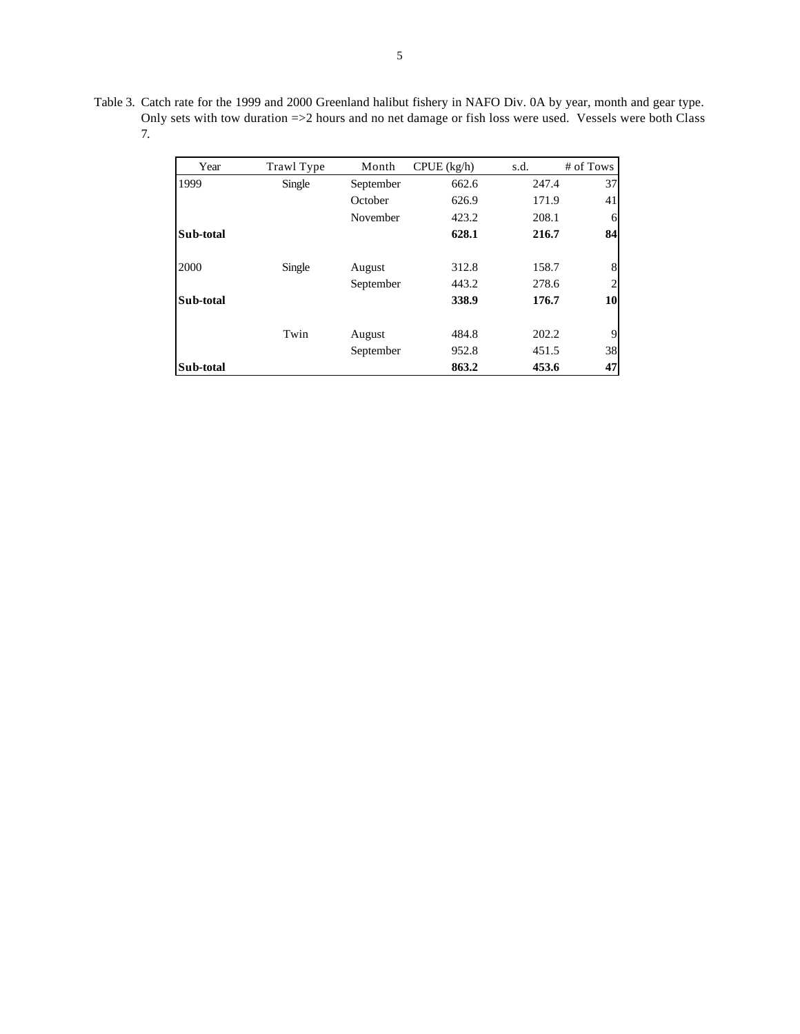| Table 3. Catch rate for the 1999 and 2000 Greenland halibut fishery in NAFO Div. 0A by year, month and gear type. |
|-------------------------------------------------------------------------------------------------------------------|
| Only sets with tow duration =>2 hours and no net damage or fish loss were used. Vessels were both Class           |
|                                                                                                                   |

| Year      | Trawl Type | Month     | CPUE (kg/h) | s.d.  | # of Tows      |
|-----------|------------|-----------|-------------|-------|----------------|
| 1999      | Single     | September | 662.6       | 247.4 | 37             |
|           |            | October   | 626.9       | 171.9 | 41             |
|           |            | November  | 423.2       | 208.1 | 6              |
| Sub-total |            |           | 628.1       | 216.7 | 84             |
| 2000      | Single     | August    | 312.8       | 158.7 | 8              |
|           |            | September | 443.2       | 278.6 | $\overline{2}$ |
| Sub-total |            |           | 338.9       | 176.7 | 10             |
|           | Twin       | August    | 484.8       | 202.2 | 9              |
|           |            | September | 952.8       | 451.5 | 38             |
| Sub-total |            |           | 863.2       | 453.6 | 47             |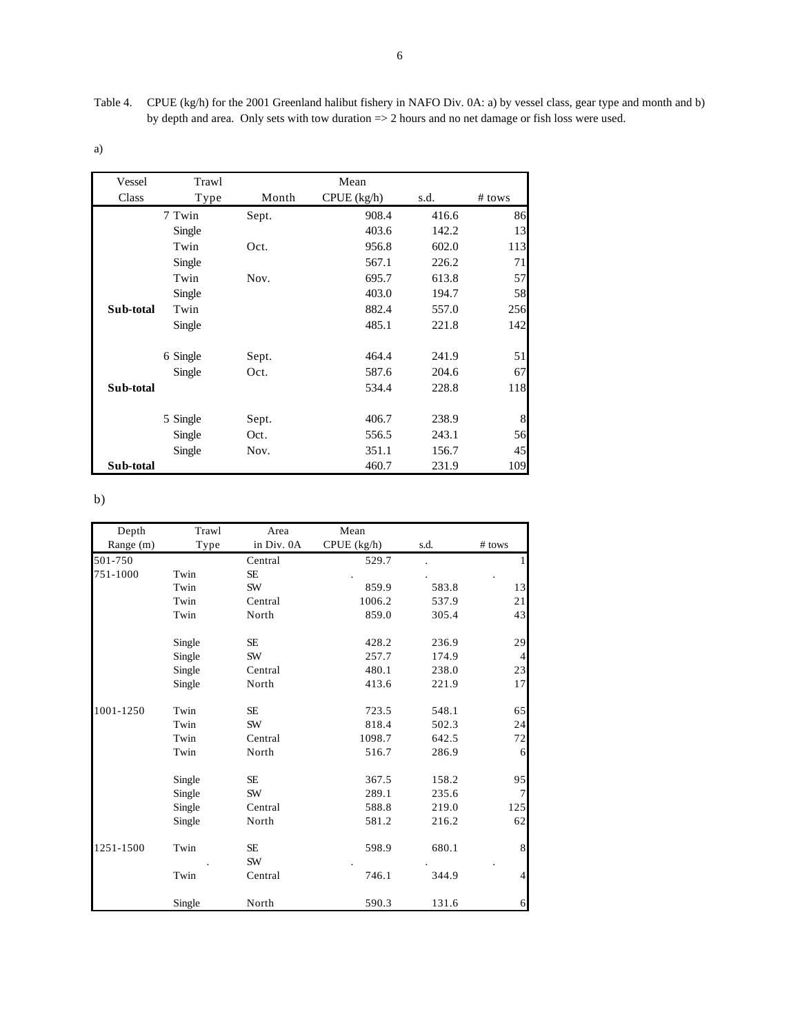Table 4. CPUE (kg/h) for the 2001 Greenland halibut fishery in NAFO Div. 0A: a) by vessel class, gear type and month and b) by depth and area. Only sets with tow duration => 2 hours and no net damage or fish loss were used.

a)

| Vessel    | Trawl    |       | Mean          |       |        |
|-----------|----------|-------|---------------|-------|--------|
| Class     | Type     | Month | $CPUE$ (kg/h) | s.d.  | # tows |
|           | 7 Twin   | Sept. | 908.4         | 416.6 | 86     |
|           | Single   |       | 403.6         | 142.2 | 13     |
|           | Twin     | Oct.  | 956.8         | 602.0 | 113    |
|           | Single   |       | 567.1         | 226.2 | 71     |
|           | Twin     | Nov.  | 695.7         | 613.8 | 57     |
|           | Single   |       | 403.0         | 194.7 | 58     |
| Sub-total | Twin     |       | 882.4         | 557.0 | 256    |
|           | Single   |       | 485.1         | 221.8 | 142    |
|           | 6 Single | Sept. | 464.4         | 241.9 | 51     |
|           | Single   | Oct.  | 587.6         | 204.6 | 67     |
| Sub-total |          |       | 534.4         | 228.8 | 118    |
|           | 5 Single | Sept. | 406.7         | 238.9 | 8      |
|           | Single   | Oct.  | 556.5         | 243.1 | 56     |
|           | Single   | Nov.  | 351.1         | 156.7 | 45     |
| Sub-total |          |       | 460.7         | 231.9 | 109    |

b)

| Depth     | Trawl  | Area       | Mean        |       |                |
|-----------|--------|------------|-------------|-------|----------------|
| Range (m) | Type   | in Div. 0A | CPUE (kg/h) | s.d.  | # tows         |
| 501-750   |        | Central    | 529.7       |       | 1              |
| 751-1000  | Twin   | <b>SE</b>  |             |       |                |
|           | Twin   | SW         | 859.9       | 583.8 | 13             |
|           | Twin   | Central    | 1006.2      | 537.9 | 21             |
|           | Twin   | North      | 859.0       | 305.4 | 43             |
|           | Single | SE.        | 428.2       | 236.9 | 29             |
|           | Single | SW         | 257.7       | 174.9 | $\overline{4}$ |
|           | Single | Central    | 480.1       | 238.0 | 23             |
|           | Single | North      | 413.6       | 221.9 | 17             |
| 1001-1250 | Twin   | SE         | 723.5       | 548.1 | 65             |
|           | Twin   | SW         | 818.4       | 502.3 | 24             |
|           | Twin   | Central    | 1098.7      | 642.5 | $72\,$         |
|           | Twin   | North      | 516.7       | 286.9 | 6              |
|           | Single | SE.        | 367.5       | 158.2 | 95             |
|           | Single | SW         | 289.1       | 235.6 | $\overline{7}$ |
|           | Single | Central    | 588.8       | 219.0 | 125            |
|           | Single | North      | 581.2       | 216.2 | 62             |
| 1251-1500 | Twin   | SE<br>SW   | 598.9       | 680.1 | $\,$ 8 $\,$    |
|           | Twin   | Central    | 746.1       | 344.9 | 4              |
|           | Single | North      | 590.3       | 131.6 | 6              |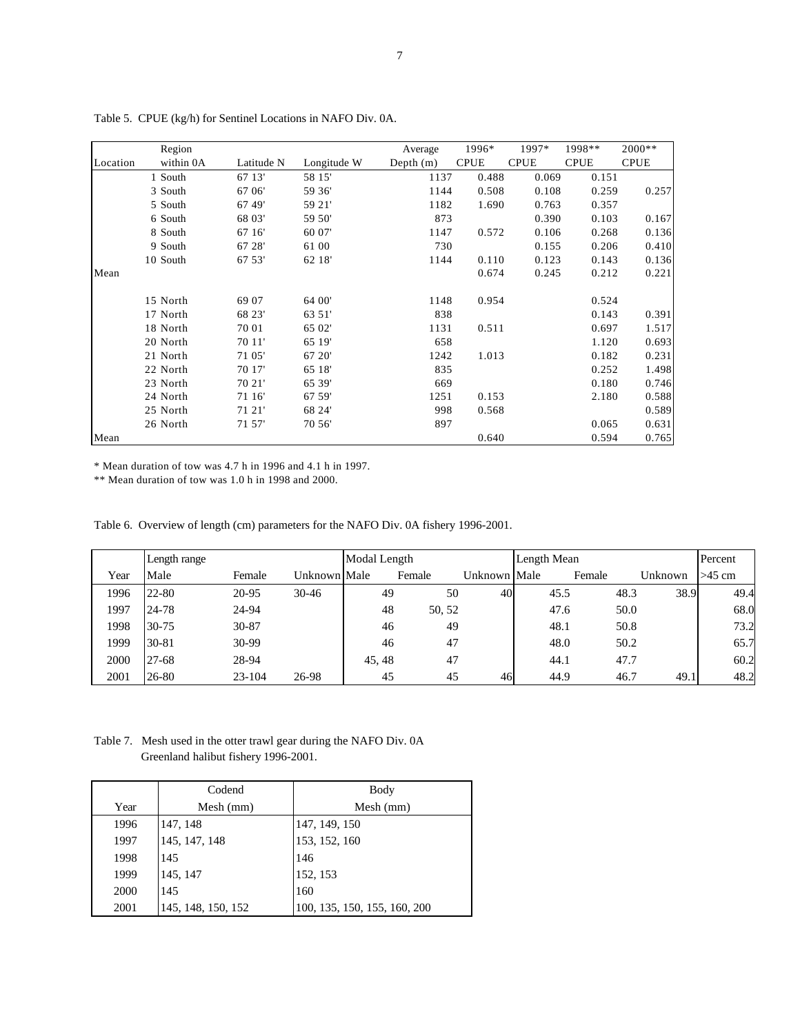|          | Region    |            |             | Average     | 1996*       | 1997*       | 1998**      | $2000**$    |
|----------|-----------|------------|-------------|-------------|-------------|-------------|-------------|-------------|
| Location | within 0A | Latitude N | Longitude W | Depth $(m)$ | <b>CPUE</b> | <b>CPUE</b> | <b>CPUE</b> | <b>CPUE</b> |
|          | 1 South   | 67 13'     | 58 15'      | 1137        | 0.488       | 0.069       | 0.151       |             |
|          | 3 South   | 67 06'     | 59 36'      | 1144        | 0.508       | 0.108       | 0.259       | 0.257       |
|          | 5 South   | 67 49'     | 59 21'      | 1182        | 1.690       | 0.763       | 0.357       |             |
|          | 6 South   | 68 03'     | 59 50'      | 873         |             | 0.390       | 0.103       | 0.167       |
|          | 8 South   | 67 16'     | 60 07'      | 1147        | 0.572       | 0.106       | 0.268       | 0.136       |
|          | 9 South   | 67 28'     | 61 00       | 730         |             | 0.155       | 0.206       | 0.410       |
|          | 10 South  | 67 53'     | 62 18'      | 1144        | 0.110       | 0.123       | 0.143       | 0.136       |
| Mean     |           |            |             |             | 0.674       | 0.245       | 0.212       | 0.221       |
|          | 15 North  | 69 07      | 64 00'      | 1148        | 0.954       |             | 0.524       |             |
|          | 17 North  | 68 23'     | 63 51'      | 838         |             |             | 0.143       | 0.391       |
|          | 18 North  | 70 01      | 65 02'      | 1131        | 0.511       |             | 0.697       | 1.517       |
|          | 20 North  | 70 11'     | 65 19'      | 658         |             |             | 1.120       | 0.693       |
|          | 21 North  | 71 05'     | 67 20'      | 1242        | 1.013       |             | 0.182       | 0.231       |
|          | 22 North  | 70 17'     | 65 18'      | 835         |             |             | 0.252       | 1.498       |
|          | 23 North  | 70 21'     | 65 39'      | 669         |             |             | 0.180       | 0.746       |
|          | 24 North  | 71 16'     | 67 59'      | 1251        | 0.153       |             | 2.180       | 0.588       |
|          | 25 North  | 71 21'     | 68 24'      | 998         | 0.568       |             |             | 0.589       |
|          | 26 North  | 71 57'     | 70 56'      | 897         |             |             | 0.065       | 0.631       |
| Mean     |           |            |             |             | 0.640       |             | 0.594       | 0.765       |

Table 5. CPUE (kg/h) for Sentinel Locations in NAFO Div. 0A.

\* Mean duration of tow was 4.7 h in 1996 and 4.1 h in 1997.

\*\* Mean duration of tow was 1.0 h in 1998 and 2000.

Table 6. Overview of length (cm) parameters for the NAFO Div. 0A fishery 1996-2001.

|      | Length range |            |              | Modal Length |        |              | Length Mean |        |      |         | Percent  |
|------|--------------|------------|--------------|--------------|--------|--------------|-------------|--------|------|---------|----------|
| Year | Male         | Female     | Unknown Male |              | Female | Unknown Male |             | Female |      | Unknown | $>45$ cm |
| 1996 | $22 - 80$    | 20-95      | $30 - 46$    | 49           | 50     | 40           | 45.5        |        | 48.3 | 38.9    | 49.4     |
| 1997 | 24-78        | 24-94      |              | 48           | 50, 52 |              | 47.6        |        | 50.0 |         | 68.0     |
| 1998 | $30 - 75$    | $30 - 87$  |              | 46           | 49     |              | 48.1        |        | 50.8 |         | 73.2     |
| 1999 | $30 - 81$    | 30-99      |              | 46           | 47     |              | 48.0        |        | 50.2 |         | 65.7     |
| 2000 | $27 - 68$    | 28-94      |              | 45, 48       | 47     |              | 44.1        |        | 47.7 |         | 60.2     |
| 2001 | 26-80        | $23 - 104$ | 26-98        | 45           | 45     | 46           | 44.9        |        | 46.7 | 49.1    | 48.2     |

Table 7. Mesh used in the otter trawl gear during the NAFO Div. 0A Greenland halibut fishery 1996-2001.

|      | Codend             | Body                         |
|------|--------------------|------------------------------|
| Year | Mesh (mm)          | Mesh (mm)                    |
| 1996 | 147, 148           | 147, 149, 150                |
| 1997 | 145, 147, 148      | 153, 152, 160                |
| 1998 | 145                | 146                          |
| 1999 | 145, 147           | 152, 153                     |
| 2000 | 145                | 160                          |
| 2001 | 145, 148, 150, 152 | 100, 135, 150, 155, 160, 200 |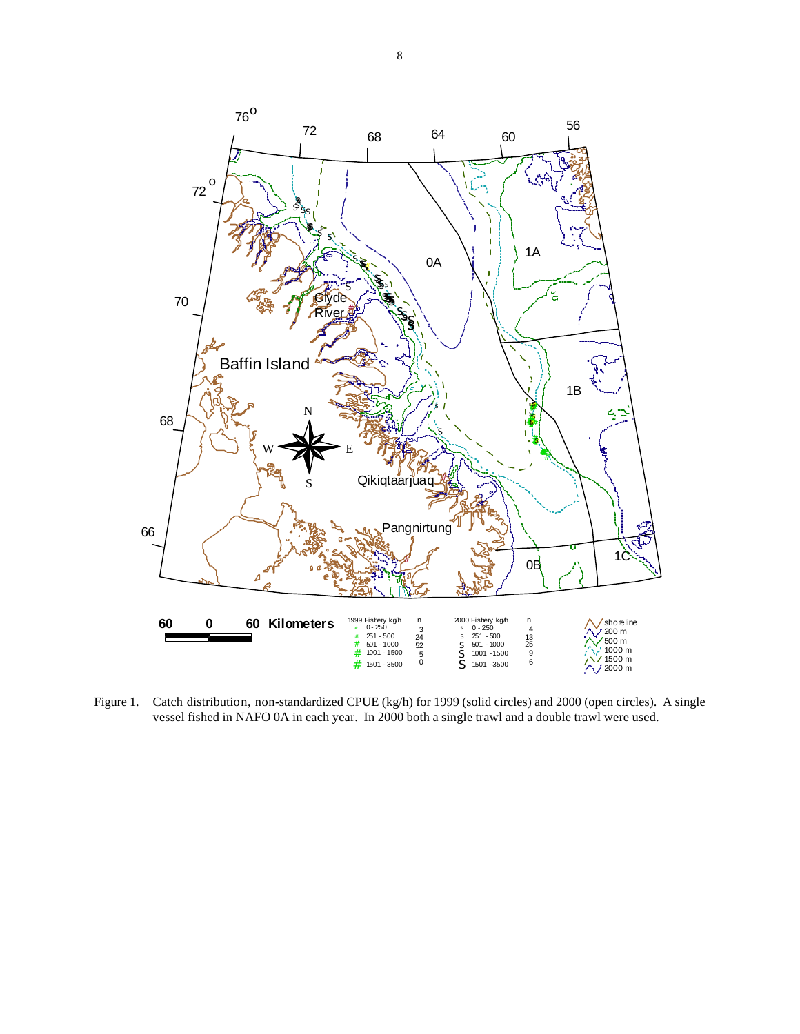

Figure 1. Catch distribution, non-standardized CPUE (kg/h) for 1999 (solid circles) and 2000 (open circles). A single vessel fished in NAFO 0A in each year. In 2000 both a single trawl and a double trawl were used.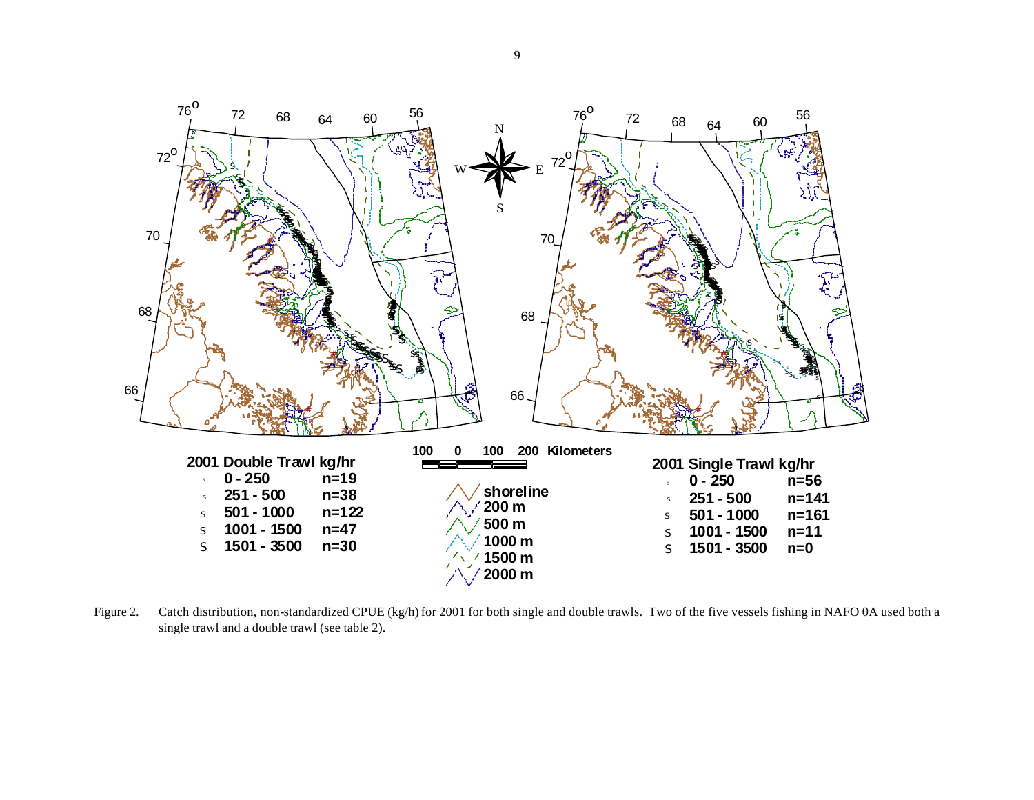

Figure 2. Catch distribution, non-standardized CPUE (kg/h) for 2001 for both single and double trawls. Two of the five vessels fishing in NAFO 0A used both a single trawl and a double trawl (see table 2).